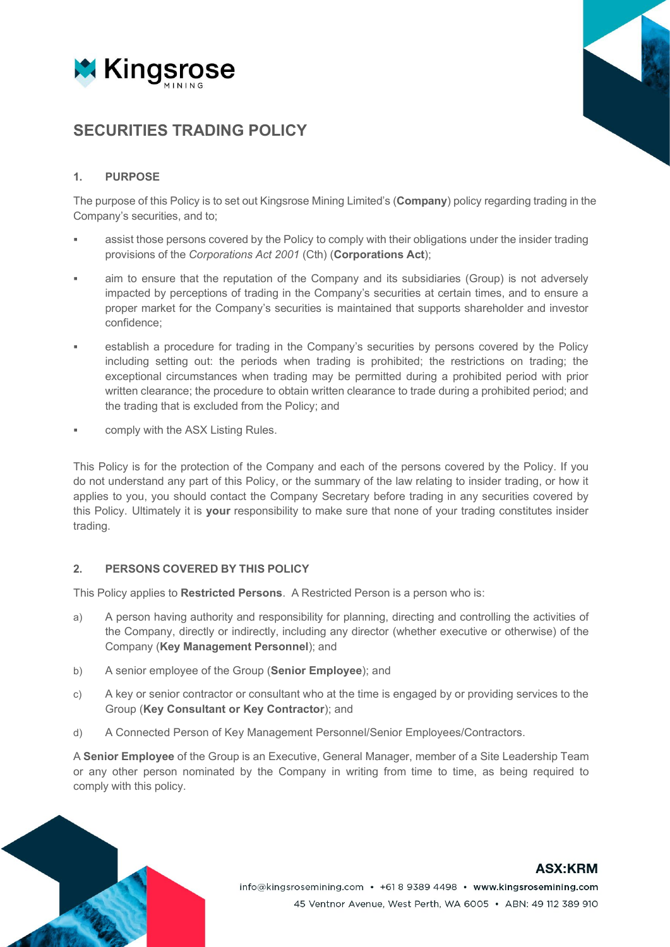

# **SECURITIES TRADING POLICY**

# **1. PURPOSE**

The purpose of this Policy is to set out Kingsrose Mining Limited's (**Company**) policy regarding trading in the Company's securities, and to;

- assist those persons covered by the Policy to comply with their obligations under the insider trading provisions of the *Corporations Act 2001* (Cth) (**Corporations Act**);
- aim to ensure that the reputation of the Company and its subsidiaries (Group) is not adversely impacted by perceptions of trading in the Company's securities at certain times, and to ensure a proper market for the Company's securities is maintained that supports shareholder and investor confidence;
- establish a procedure for trading in the Company's securities by persons covered by the Policy including setting out: the periods when trading is prohibited; the restrictions on trading; the exceptional circumstances when trading may be permitted during a prohibited period with prior written clearance; the procedure to obtain written clearance to trade during a prohibited period; and the trading that is excluded from the Policy; and
- comply with the ASX Listing Rules.

This Policy is for the protection of the Company and each of the persons covered by the Policy. If you do not understand any part of this Policy, or the summary of the law relating to insider trading, or how it applies to you, you should contact the Company Secretary before trading in any securities covered by this Policy. Ultimately it is **your** responsibility to make sure that none of your trading constitutes insider trading.

#### **2. PERSONS COVERED BY THIS POLICY**

This Policy applies to **Restricted Persons**. A Restricted Person is a person who is:

- a) A person having authority and responsibility for planning, directing and controlling the activities of the Company, directly or indirectly, including any director (whether executive or otherwise) of the Company (**Key Management Personnel**); and
- b) A senior employee of the Group (**Senior Employee**); and
- c) A key or senior contractor or consultant who at the time is engaged by or providing services to the Group (**Key Consultant or Key Contractor**); and
- d) A Connected Person of Key Management Personnel/Senior Employees/Contractors.

A **Senior Employee** of the Group is an Executive, General Manager, member of a Site Leadership Team or any other person nominated by the Company in writing from time to time, as being required to comply with this policy.



# **ASX:KRM**

info@kingsrosemining.com • +61 8 9389 4498 • www.kingsrosemining.com 45 Ventnor Avenue, West Perth, WA 6005 · ABN: 49 112 389 910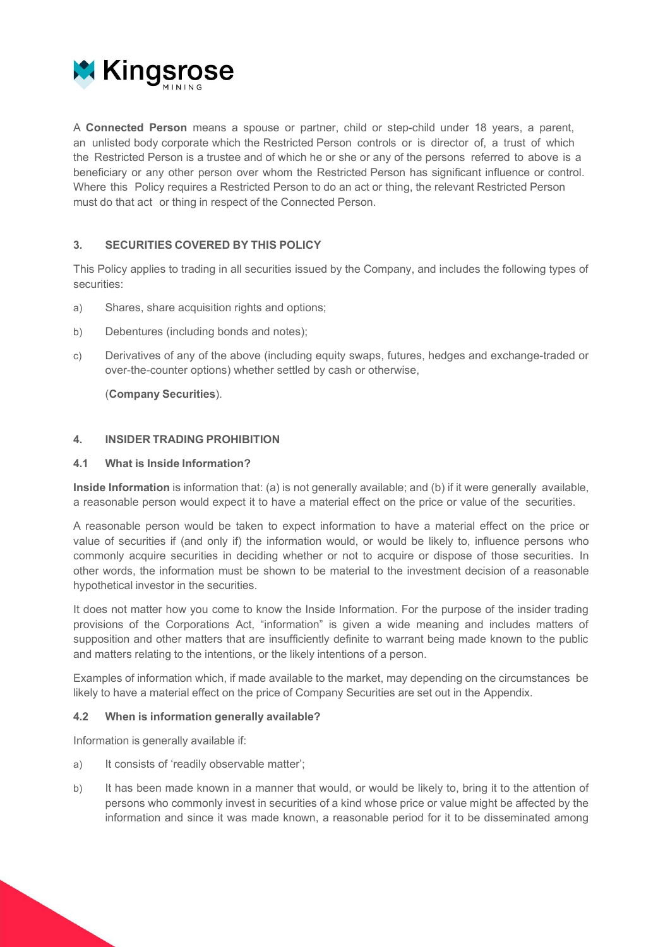

A **Connected Person** means a spouse or partner, child or step-child under 18 years, a parent, an unlisted body corporate which the Restricted Person controls or is director of, a trust of which the Restricted Person is a trustee and of which he or she or any of the persons referred to above is a beneficiary or any other person over whom the Restricted Person has significant influence or control. Where this Policy requires a Restricted Person to do an act or thing, the relevant Restricted Person must do that act or thing in respect of the Connected Person.

# **3. SECURITIES COVERED BY THIS POLICY**

This Policy applies to trading in all securities issued by the Company, and includes the following types of securities:

- a) Shares, share acquisition rights and options;
- b) Debentures (including bonds and notes);
- c) Derivatives of any of the above (including equity swaps, futures, hedges and exchange-traded or over-the-counter options) whether settled by cash or otherwise,

(**Company Securities**).

#### **4. INSIDER TRADING PROHIBITION**

#### **4.1 What is Inside Information?**

**Inside Information** is information that: (a) is not generally available; and (b) if it were generally available, a reasonable person would expect it to have a material effect on the price or value of the securities.

A reasonable person would be taken to expect information to have a material effect on the price or value of securities if (and only if) the information would, or would be likely to, influence persons who commonly acquire securities in deciding whether or not to acquire or dispose of those securities. In other words, the information must be shown to be material to the investment decision of a reasonable hypothetical investor in the securities.

It does not matter how you come to know the Inside Information. For the purpose of the insider trading provisions of the Corporations Act, "information" is given a wide meaning and includes matters of supposition and other matters that are insufficiently definite to warrant being made known to the public and matters relating to the intentions, or the likely intentions of a person.

Examples of information which, if made available to the market, may depending on the circumstances be likely to have a material effect on the price of Company Securities are set out in the Appendix.

#### **4.2 When is information generally available?**

Information is generally available if:

- a) It consists of 'readily observable matter';
- b) It has been made known in a manner that would, or would be likely to, bring it to the attention of persons who commonly invest in securities of a kind whose price or value might be affected by the information and since it was made known, a reasonable period for it to be disseminated among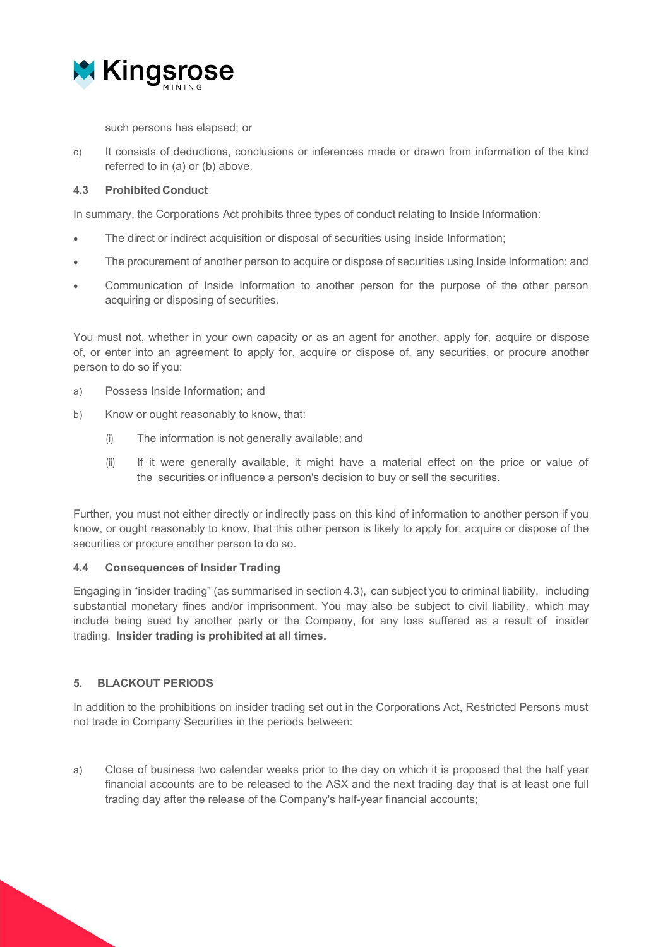

such persons has elapsed; or

c) It consists of deductions, conclusions or inferences made or drawn from information of the kind referred to in (a) or (b) above.

#### **4.3 Prohibited Conduct**

In summary, the Corporations Act prohibits three types of conduct relating to Inside Information:

- The direct or indirect acquisition or disposal of securities using Inside Information;
- The procurement of another person to acquire or dispose of securities using Inside Information; and
- Communication of Inside Information to another person for the purpose of the other person acquiring or disposing of securities.

You must not, whether in your own capacity or as an agent for another, apply for, acquire or dispose of, or enter into an agreement to apply for, acquire or dispose of, any securities, or procure another person to do so if you:

- a) Possess Inside Information; and
- b) Know or ought reasonably to know, that:
	- (i) The information is not generally available; and
	- (ii) If it were generally available, it might have a material effect on the price or value of the securities or influence a person's decision to buy or sell the securities.

Further, you must not either directly or indirectly pass on this kind of information to another person if you know, or ought reasonably to know, that this other person is likely to apply for, acquire or dispose of the securities or procure another person to do so.

#### **4.4 Consequences of Insider Trading**

Engaging in "insider trading" (as summarised in section 4.3), can subject you to criminal liability, including substantial monetary fines and/or imprisonment. You may also be subject to civil liability, which may include being sued by another party or the Company, for any loss suffered as a result of insider trading. **Insider trading is prohibited at all times.**

#### **5. BLACKOUT PERIODS**

In addition to the prohibitions on insider trading set out in the Corporations Act, Restricted Persons must not trade in Company Securities in the periods between:

a) Close of business two calendar weeks prior to the day on which it is proposed that the half year financial accounts are to be released to the ASX and the next trading day that is at least one full trading day after the release of the Company's half-year financial accounts;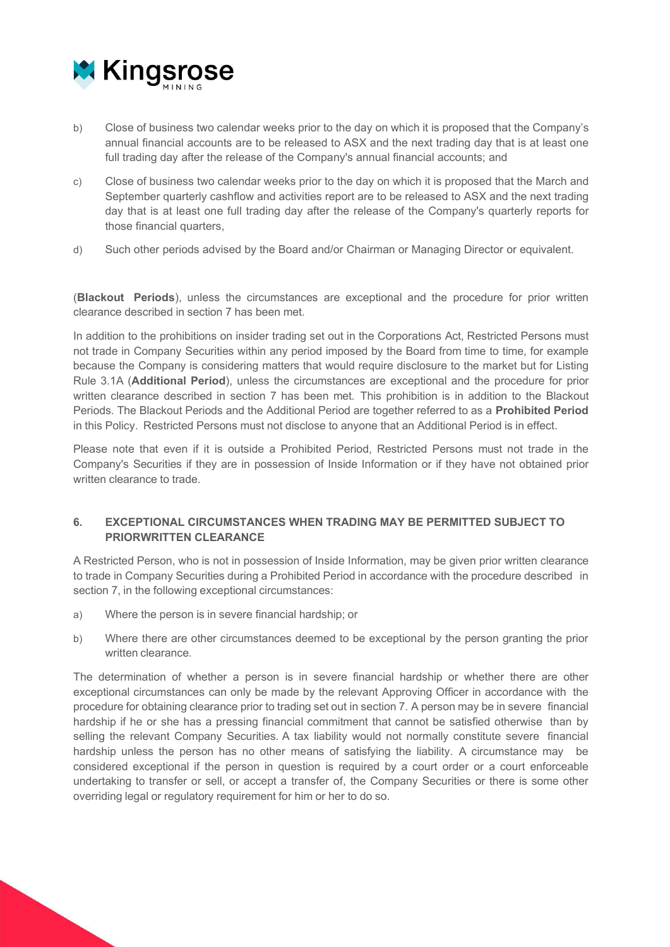

- b) Close of business two calendar weeks prior to the day on which it is proposed that the Company's annual financial accounts are to be released to ASX and the next trading day that is at least one full trading day after the release of the Company's annual financial accounts; and
- c) Close of business two calendar weeks prior to the day on which it is proposed that the March and September quarterly cashflow and activities report are to be released to ASX and the next trading day that is at least one full trading day after the release of the Company's quarterly reports for those financial quarters,
- d) Such other periods advised by the Board and/or Chairman or Managing Director or equivalent.

(**Blackout Periods**), unless the circumstances are exceptional and the procedure for prior written clearance described in section 7 has been met.

In addition to the prohibitions on insider trading set out in the Corporations Act, Restricted Persons must not trade in Company Securities within any period imposed by the Board from time to time, for example because the Company is considering matters that would require disclosure to the market but for Listing Rule 3.1A (**Additional Period**), unless the circumstances are exceptional and the procedure for prior written clearance described in section 7 has been met. This prohibition is in addition to the Blackout Periods. The Blackout Periods and the Additional Period are together referred to as a **Prohibited Period** in this Policy. Restricted Persons must not disclose to anyone that an Additional Period is in effect.

Please note that even if it is outside a Prohibited Period, Restricted Persons must not trade in the Company's Securities if they are in possession of Inside Information or if they have not obtained prior written clearance to trade.

# **6. EXCEPTIONAL CIRCUMSTANCES WHEN TRADING MAY BE PERMITTED SUBJECT TO PRIORWRITTEN CLEARANCE**

A Restricted Person, who is not in possession of Inside Information, may be given prior written clearance to trade in Company Securities during a Prohibited Period in accordance with the procedure described in section 7, in the following exceptional circumstances:

- a) Where the person is in severe financial hardship; or
- b) Where there are other circumstances deemed to be exceptional by the person granting the prior written clearance.

The determination of whether a person is in severe financial hardship or whether there are other exceptional circumstances can only be made by the relevant Approving Officer in accordance with the procedure for obtaining clearance prior to trading set out in section 7. A person may be in severe financial hardship if he or she has a pressing financial commitment that cannot be satisfied otherwise than by selling the relevant Company Securities. A tax liability would not normally constitute severe financial hardship unless the person has no other means of satisfying the liability. A circumstance may be considered exceptional if the person in question is required by a court order or a court enforceable undertaking to transfer or sell, or accept a transfer of, the Company Securities or there is some other overriding legal or regulatory requirement for him or her to do so.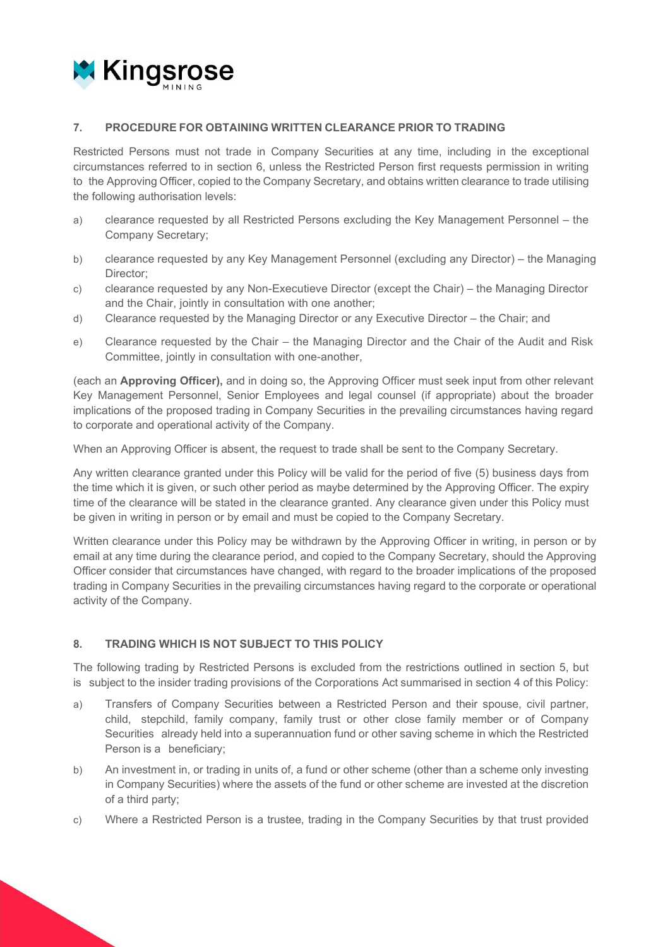

#### **7. PROCEDURE FOR OBTAINING WRITTEN CLEARANCE PRIOR TO TRADING**

Restricted Persons must not trade in Company Securities at any time, including in the exceptional circumstances referred to in section 6, unless the Restricted Person first requests permission in writing to the Approving Officer, copied to the Company Secretary, and obtains written clearance to trade utilising the following authorisation levels:

- a) clearance requested by all Restricted Persons excluding the Key Management Personnel the Company Secretary;
- b) clearance requested by any Key Management Personnel (excluding any Director) the Managing Director;
- c) clearance requested by any Non-Executieve Director (except the Chair) the Managing Director and the Chair, jointly in consultation with one another;
- d) Clearance requested by the Managing Director or any Executive Director the Chair; and
- e) Clearance requested by the Chair the Managing Director and the Chair of the Audit and Risk Committee, jointly in consultation with one-another,

(each an **Approving Officer),** and in doing so, the Approving Officer must seek input from other relevant Key Management Personnel, Senior Employees and legal counsel (if appropriate) about the broader implications of the proposed trading in Company Securities in the prevailing circumstances having regard to corporate and operational activity of the Company.

When an Approving Officer is absent, the request to trade shall be sent to the Company Secretary.

Any written clearance granted under this Policy will be valid for the period of five (5) business days from the time which it is given, or such other period as maybe determined by the Approving Officer. The expiry time of the clearance will be stated in the clearance granted. Any clearance given under this Policy must be given in writing in person or by email and must be copied to the Company Secretary.

Written clearance under this Policy may be withdrawn by the Approving Officer in writing, in person or by email at any time during the clearance period, and copied to the Company Secretary, should the Approving Officer consider that circumstances have changed, with regard to the broader implications of the proposed trading in Company Securities in the prevailing circumstances having regard to the corporate or operational activity of the Company.

# **8. TRADING WHICH IS NOT SUBJECT TO THIS POLICY**

The following trading by Restricted Persons is excluded from the restrictions outlined in section 5, but is subject to the insider trading provisions of the Corporations Act summarised in section 4 of this Policy:

- a) Transfers of Company Securities between a Restricted Person and their spouse, civil partner, child, stepchild, family company, family trust or other close family member or of Company Securities already held into a superannuation fund or other saving scheme in which the Restricted Person is a beneficiary;
- b) An investment in, or trading in units of, a fund or other scheme (other than a scheme only investing in Company Securities) where the assets of the fund or other scheme are invested at the discretion of a third party;
- c) Where a Restricted Person is a trustee, trading in the Company Securities by that trust provided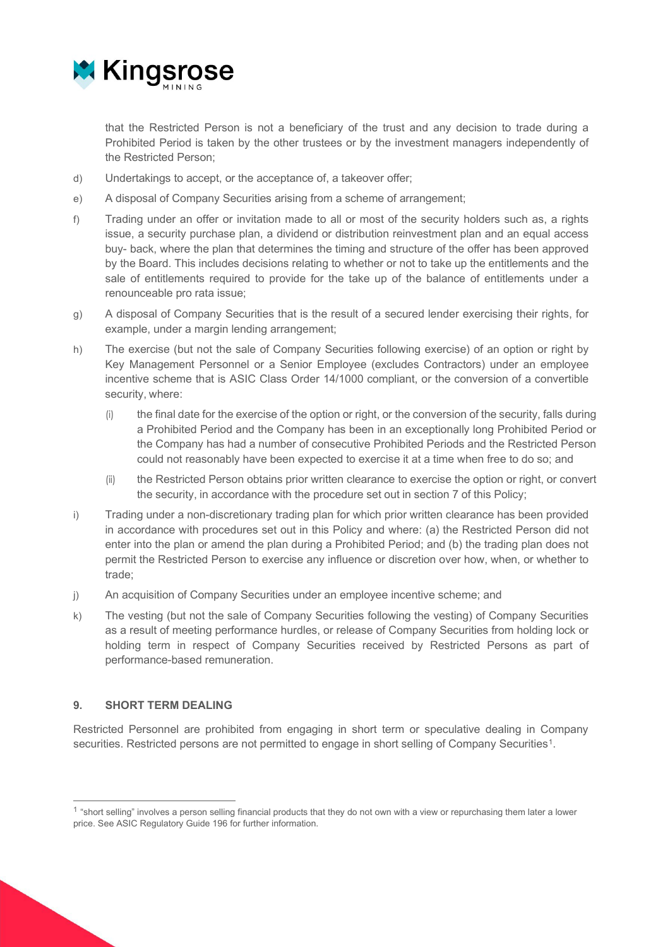

that the Restricted Person is not a beneficiary of the trust and any decision to trade during a Prohibited Period is taken by the other trustees or by the investment managers independently of the Restricted Person;

- d) Undertakings to accept, or the acceptance of, a takeover offer;
- e) A disposal of Company Securities arising from a scheme of arrangement;
- f) Trading under an offer or invitation made to all or most of the security holders such as, a rights issue, a security purchase plan, a dividend or distribution reinvestment plan and an equal access buy- back, where the plan that determines the timing and structure of the offer has been approved by the Board. This includes decisions relating to whether or not to take up the entitlements and the sale of entitlements required to provide for the take up of the balance of entitlements under a renounceable pro rata issue;
- g) A disposal of Company Securities that is the result of a secured lender exercising their rights, for example, under a margin lending arrangement;
- h) The exercise (but not the sale of Company Securities following exercise) of an option or right by Key Management Personnel or a Senior Employee (excludes Contractors) under an employee incentive scheme that is ASIC Class Order 14/1000 compliant, or the conversion of a convertible security, where:
	- (i) the final date for the exercise of the option or right, or the conversion of the security, falls during a Prohibited Period and the Company has been in an exceptionally long Prohibited Period or the Company has had a number of consecutive Prohibited Periods and the Restricted Person could not reasonably have been expected to exercise it at a time when free to do so; and
	- (ii) the Restricted Person obtains prior written clearance to exercise the option or right, or convert the security, in accordance with the procedure set out in section 7 of this Policy;
- i) Trading under a non-discretionary trading plan for which prior written clearance has been provided in accordance with procedures set out in this Policy and where: (a) the Restricted Person did not enter into the plan or amend the plan during a Prohibited Period; and (b) the trading plan does not permit the Restricted Person to exercise any influence or discretion over how, when, or whether to trade;
- j) An acquisition of Company Securities under an employee incentive scheme; and
- k) The vesting (but not the sale of Company Securities following the vesting) of Company Securities as a result of meeting performance hurdles, or release of Company Securities from holding lock or holding term in respect of Company Securities received by Restricted Persons as part of performance-based remuneration.

#### **9. SHORT TERM DEALING**

Restricted Personnel are prohibited from engaging in short term or speculative dealing in Company securities. Restricted persons are not permitted to engage in short selling of Company Securities<sup>[1](#page-5-0)</sup>.

<span id="page-5-0"></span><sup>&</sup>lt;sup>1</sup> "short selling" involves a person selling financial products that they do not own with a view or repurchasing them later a lower price. See ASIC Regulatory Guide 196 for further information.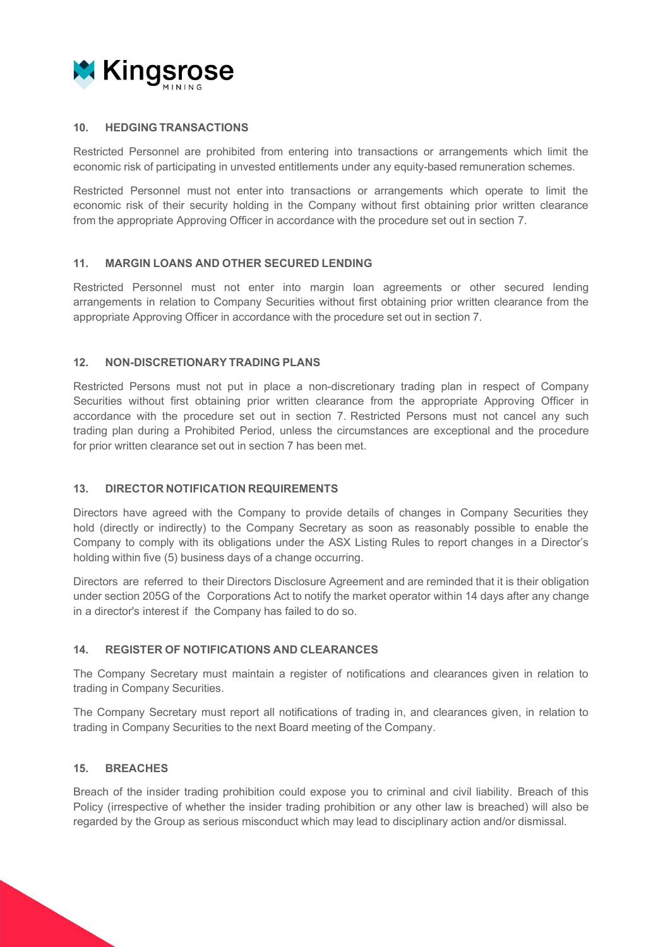

#### **10. HEDGING TRANSACTIONS**

Restricted Personnel are prohibited from entering into transactions or arrangements which limit the economic risk of participating in unvested entitlements under any equity-based remuneration schemes.

Restricted Personnel must not enter into transactions or arrangements which operate to limit the economic risk of their security holding in the Company without first obtaining prior written clearance from the appropriate Approving Officer in accordance with the procedure set out in section 7.

#### **11. MARGIN LOANS AND OTHER SECURED LENDING**

Restricted Personnel must not enter into margin loan agreements or other secured lending arrangements in relation to Company Securities without first obtaining prior written clearance from the appropriate Approving Officer in accordance with the procedure set out in section 7.

#### **12. NON-DISCRETIONARY TRADING PLANS**

Restricted Persons must not put in place a non-discretionary trading plan in respect of Company Securities without first obtaining prior written clearance from the appropriate Approving Officer in accordance with the procedure set out in section 7. Restricted Persons must not cancel any such trading plan during a Prohibited Period, unless the circumstances are exceptional and the procedure for prior written clearance set out in section 7 has been met.

#### **13. DIRECTOR NOTIFICATION REQUIREMENTS**

Directors have agreed with the Company to provide details of changes in Company Securities they hold (directly or indirectly) to the Company Secretary as soon as reasonably possible to enable the Company to comply with its obligations under the ASX Listing Rules to report changes in a Director's holding within five (5) business days of a change occurring.

Directors are referred to their Directors Disclosure Agreement and are reminded that it is their obligation under section 205G of the Corporations Act to notify the market operator within 14 days after any change in a director's interest if the Company has failed to do so.

#### **14. REGISTER OF NOTIFICATIONS AND CLEARANCES**

The Company Secretary must maintain a register of notifications and clearances given in relation to trading in Company Securities.

The Company Secretary must report all notifications of trading in, and clearances given, in relation to trading in Company Securities to the next Board meeting of the Company.

#### **15. BREACHES**

Breach of the insider trading prohibition could expose you to criminal and civil liability. Breach of this Policy (irrespective of whether the insider trading prohibition or any other law is breached) will also be regarded by the Group as serious misconduct which may lead to disciplinary action and/or dismissal.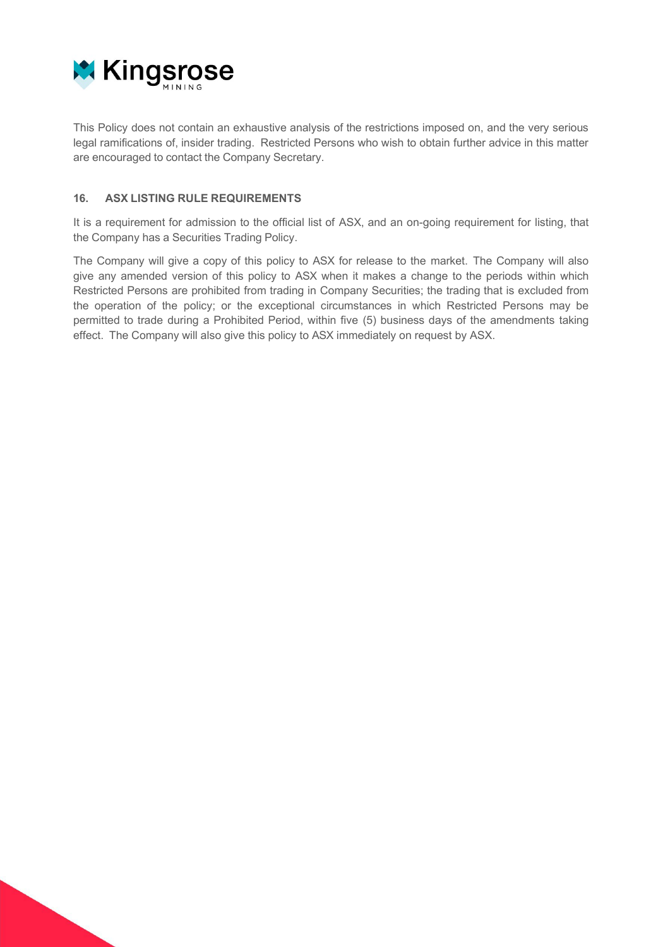

This Policy does not contain an exhaustive analysis of the restrictions imposed on, and the very serious legal ramifications of, insider trading. Restricted Persons who wish to obtain further advice in this matter are encouraged to contact the Company Secretary.

# **16. ASX LISTING RULE REQUIREMENTS**

It is a requirement for admission to the official list of ASX, and an on-going requirement for listing, that the Company has a Securities Trading Policy.

The Company will give a copy of this policy to ASX for release to the market. The Company will also give any amended version of this policy to ASX when it makes a change to the periods within which Restricted Persons are prohibited from trading in Company Securities; the trading that is excluded from the operation of the policy; or the exceptional circumstances in which Restricted Persons may be permitted to trade during a Prohibited Period, within five (5) business days of the amendments taking effect. The Company will also give this policy to ASX immediately on request by ASX.